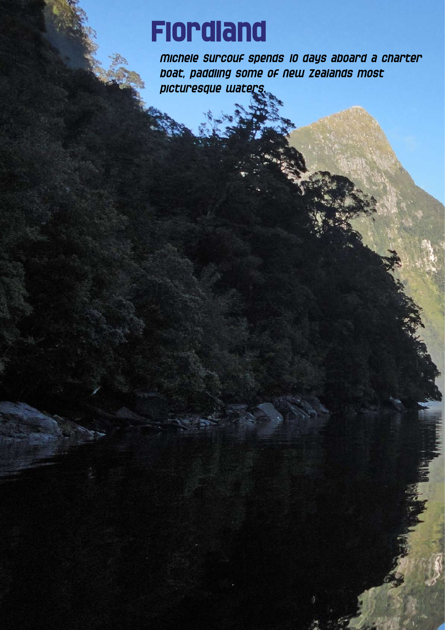## **Fiordland**

Michele Surcouf spends 10 days aboard a charter boat, paddling some of New Zealands most picturesque waters.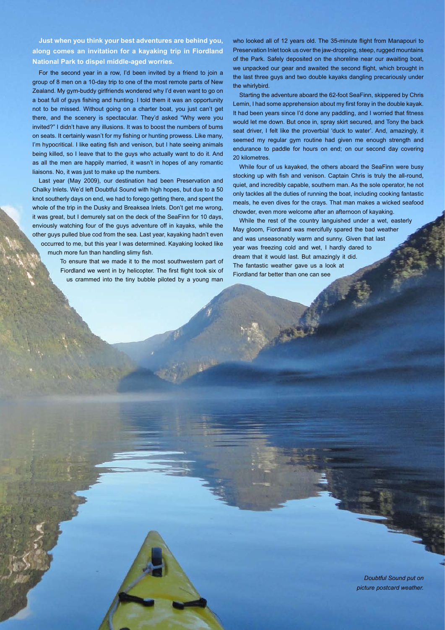**Just when you think your best adventures are behind you, along comes an invitation for a kayaking trip in Fiordland National Park to dispel middle-aged worries.**

For the second year in a row, I'd been invited by a friend to join a group of 8 men on a 10-day trip to one of the most remote parts of New Zealand. My gym-buddy girlfriends wondered why I'd even want to go on a boat full of guys fishing and hunting. I told them it was an opportunity not to be missed. Without going on a charter boat, you just can't get there, and the scenery is spectacular. They'd asked "Why were you invited?" I didn't have any illusions. It was to boost the numbers of bums on seats. It certainly wasn't for my fishing or hunting prowess. Like many, I'm hypocritical. I like eating fish and venison, but I hate seeing animals being killed, so I leave that to the guys who actually want to do it. And as all the men are happily married, it wasn't in hopes of any romantic liaisons. No, it was just to make up the numbers.

Last year (May 2009), our destination had been Preservation and Chalky Inlets. We'd left Doubtful Sound with high hopes, but due to a 50 knot southerly days on end, we had to forego getting there, and spent the whole of the trip in the Dusky and Breaksea Inlets. Don't get me wrong, it was great, but I demurely sat on the deck of the SeaFinn for 10 days, enviously watching four of the guys adventure off in kayaks, while the other guys pulled blue cod from the sea. Last year, kayaking hadn't even occurred to me, but this year I was determined. Kayaking looked like much more fun than handling slimy fish.

> To ensure that we made it to the most southwestern part of Fiordland we went in by helicopter. The first flight took six of us crammed into the tiny bubble piloted by a young man

who looked all of 12 years old. The 35-minute flight from Manapouri to Preservation Inlet took us over the jaw-dropping, steep, rugged mountains of the Park. Safely deposited on the shoreline near our awaiting boat, we unpacked our gear and awaited the second flight, which brought in the last three guys and two double kayaks dangling precariously under the whirlybird.

Starting the adventure aboard the 62-foot SeaFinn, skippered by Chris Lemin, I had some apprehension about my first foray in the double kayak. It had been years since I'd done any paddling, and I worried that fitness would let me down. But once in, spray skirt secured, and Tony the back seat driver, I felt like the proverbial 'duck to water'. And, amazingly, it seemed my regular gym routine had given me enough strength and endurance to paddle for hours on end; on our second day covering 20 kilometres.

While four of us kayaked, the others aboard the SeaFinn were busy stocking up with fish and venison. Captain Chris is truly the all-round, quiet, and incredibly capable, southern man. As the sole operator, he not only tackles all the duties of running the boat, including cooking fantastic meals, he even dives for the crays. That man makes a wicked seafood chowder, even more welcome after an afternoon of kayaking.

While the rest of the country languished under a wet, easterly May gloom, Fiordland was mercifully spared the bad weather and was unseasonably warm and sunny. Given that last year was freezing cold and wet, I hardly dared to dream that it would last. But amazingly it did. The fantastic weather gave us a look at Fiordland far better than one can see

> *Doubtful Sound put on picture postcard weather.*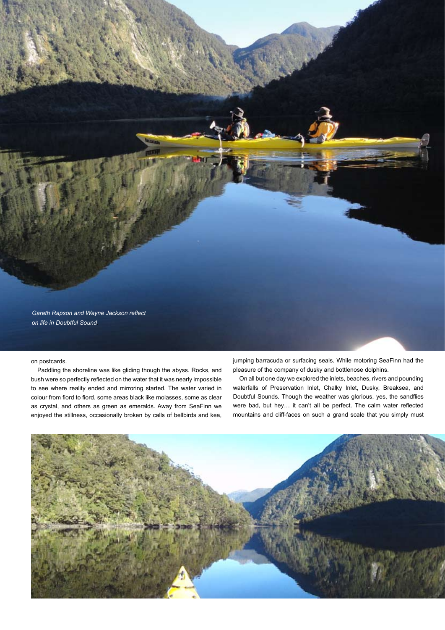

## on postcards.

Paddling the shoreline was like gliding though the abyss. Rocks, and bush were so perfectly reflected on the water that it was nearly impossible to see where reality ended and mirroring started. The water varied in colour from fiord to fiord, some areas black like molasses, some as clear as crystal, and others as green as emeralds. Away from SeaFinn we enjoyed the stillness, occasionally broken by calls of bellbirds and kea, jumping barracuda or surfacing seals. While motoring SeaFinn had the pleasure of the company of dusky and bottlenose dolphins.

On all but one day we explored the inlets, beaches, rivers and pounding waterfalls of Preservation Inlet, Chalky Inlet, Dusky, Breaksea, and Doubtful Sounds. Though the weather was glorious, yes, the sandflies were bad, but hey… it can't all be perfect. The calm water reflected mountains and cliff-faces on such a grand scale that you simply must